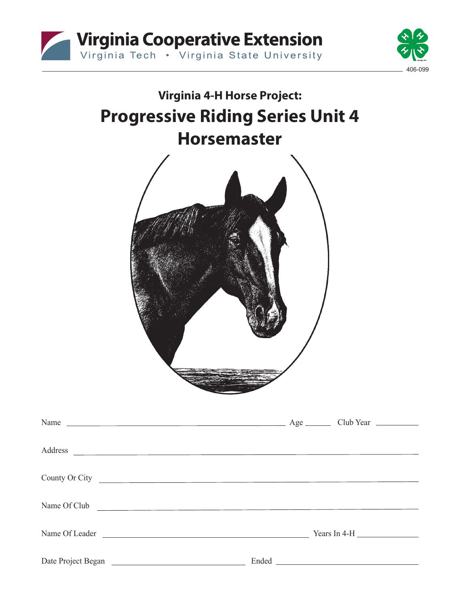



# **Virginia 4-H Horse Project: Progressive Riding Series Unit 4 Horsemaster** Name Age Club Year Address County Or City Name Of Club Name Of Leader <u>Name Of Leader School and the Vears In 4-H</u> Date Project Began Ended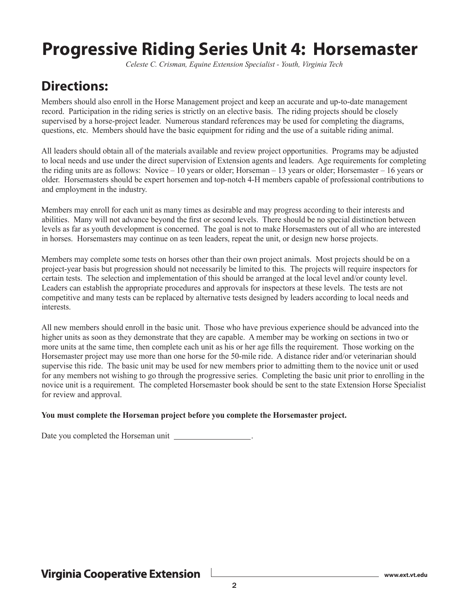## **Progressive Riding Series Unit 4: Horsemaster**

*Celeste C. Crisman, Equine Extension Specialist - Youth, Virginia Tech*

## **Directions:**

Members should also enroll in the Horse Management project and keep an accurate and up-to-date management record. Participation in the riding series is strictly on an elective basis. The riding projects should be closely supervised by a horse-project leader. Numerous standard references may be used for completing the diagrams, questions, etc. Members should have the basic equipment for riding and the use of a suitable riding animal.

All leaders should obtain all of the materials available and review project opportunities. Programs may be adjusted to local needs and use under the direct supervision of Extension agents and leaders. Age requirements for completing the riding units are as follows: Novice – 10 years or older; Horseman – 13 years or older; Horsemaster – 16 years or older. Horsemasters should be expert horsemen and top-notch 4-H members capable of professional contributions to and employment in the industry.

Members may enroll for each unit as many times as desirable and may progress according to their interests and abilities. Many will not advance beyond the first or second levels. There should be no special distinction between levels as far as youth development is concerned. The goal is not to make Horsemasters out of all who are interested in horses. Horsemasters may continue on as teen leaders, repeat the unit, or design new horse projects.

Members may complete some tests on horses other than their own project animals. Most projects should be on a project-year basis but progression should not necessarily be limited to this. The projects will require inspectors for certain tests. The selection and implementation of this should be arranged at the local level and/or county level. Leaders can establish the appropriate procedures and approvals for inspectors at these levels. The tests are not competitive and many tests can be replaced by alternative tests designed by leaders according to local needs and interests.

All new members should enroll in the basic unit. Those who have previous experience should be advanced into the higher units as soon as they demonstrate that they are capable. A member may be working on sections in two or more units at the same time, then complete each unit as his or her age fills the requirement. Those working on the Horsemaster project may use more than one horse for the 50-mile ride. A distance rider and/or veterinarian should supervise this ride. The basic unit may be used for new members prior to admitting them to the novice unit or used for any members not wishing to go through the progressive series. Completing the basic unit prior to enrolling in the novice unit is a requirement. The completed Horsemaster book should be sent to the state Extension Horse Specialist for review and approval.

#### **You must complete the Horseman project before you complete the Horsemaster project.**

Date you completed the Horseman unit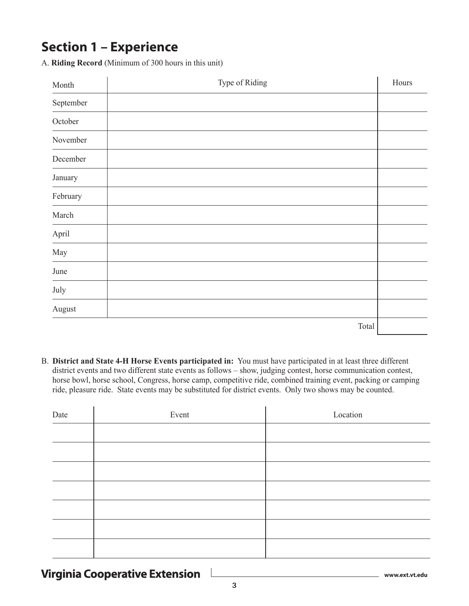## **Section 1 – Experience**

A. **Riding Record** (Minimum of 300 hours in this unit)

| Month     | Type of Riding | Hours |
|-----------|----------------|-------|
| September |                |       |
| October   |                |       |
| November  |                |       |
| December  |                |       |
| January   |                |       |
| February  |                |       |
| March     |                |       |
| April     |                |       |
| May       |                |       |
| June      |                |       |
| July      |                |       |
| August    |                |       |
|           | Total          |       |

B. **District and State 4-H Horse Events participated in:** You must have participated in at least three different district events and two different state events as follows – show, judging contest, horse communication contest, horse bowl, horse school, Congress, horse camp, competitive ride, combined training event, packing or camping ride, pleasure ride. State events may be substituted for district events. Only two shows may be counted.

| Date | Event | Location |
|------|-------|----------|
|      |       |          |
|      |       |          |
|      |       |          |
|      |       |          |
|      |       |          |
|      |       |          |
|      |       |          |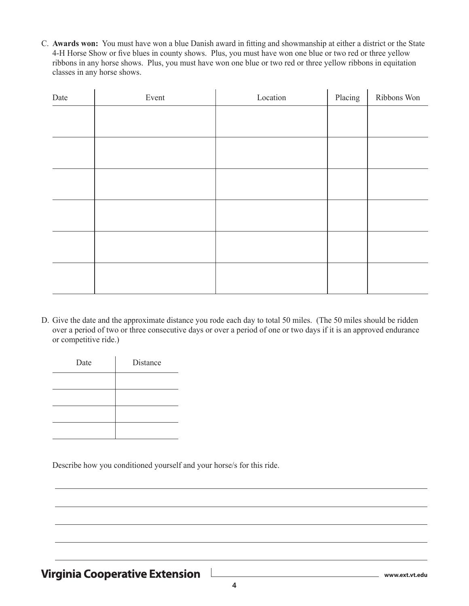C. **Awards won:** You must have won a blue Danish award in fitting and showmanship at either a district or the State 4-H Horse Show or five blues in county shows. Plus, you must have won one blue or two red or three yellow ribbons in any horse shows. Plus, you must have won one blue or two red or three yellow ribbons in equitation classes in any horse shows.

| Date | Event | Location | Placing | Ribbons Won |
|------|-------|----------|---------|-------------|
|      |       |          |         |             |
|      |       |          |         |             |
|      |       |          |         |             |
|      |       |          |         |             |
|      |       |          |         |             |
|      |       |          |         |             |
|      |       |          |         |             |
|      |       |          |         |             |
|      |       |          |         |             |
|      |       |          |         |             |
|      |       |          |         |             |
|      |       |          |         |             |

D. Give the date and the approximate distance you rode each day to total 50 miles. (The 50 miles should be ridden over a period of two or three consecutive days or over a period of one or two days if it is an approved endurance or competitive ride.)

| Date | Distance |
|------|----------|
|      |          |
|      |          |
|      |          |
|      |          |

Describe how you conditioned yourself and your horse/s for this ride.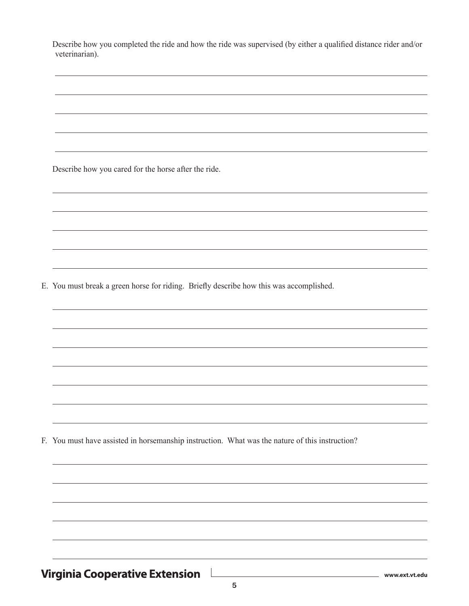Describe how you completed the ride and how the ride was supervised (by either a qualified distance rider and/or veterinarian).

Describe how you cared for the horse after the ride.

E. You must break a green horse for riding. Briefly describe how this was accomplished.

F. You must have assisted in horsemanship instruction. What was the nature of this instruction?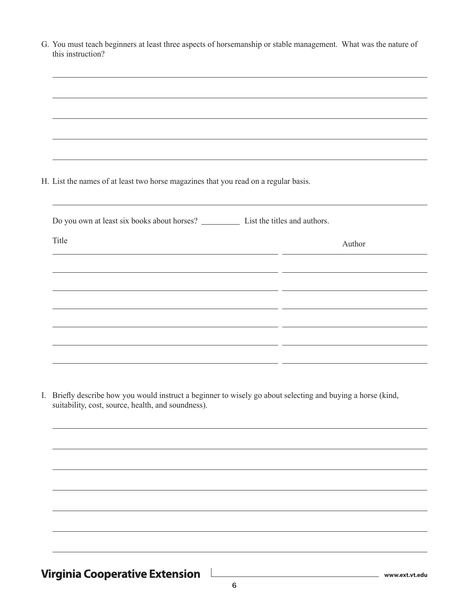| G. You must teach beginners at least three aspects of horsemanship or stable management. What was the nature of |  |
|-----------------------------------------------------------------------------------------------------------------|--|
| this instruction?                                                                                               |  |
|                                                                                                                 |  |

H. List the names of at least two horse magazines that you read on a regular basis.

| Title | Author |
|-------|--------|
|       |        |
|       |        |
|       |        |
|       |        |
|       |        |
|       |        |

I. Briefly describe how you would instruct a beginner to wisely go about selecting and buying a horse (kind, suitability, cost, source, health, and soundness).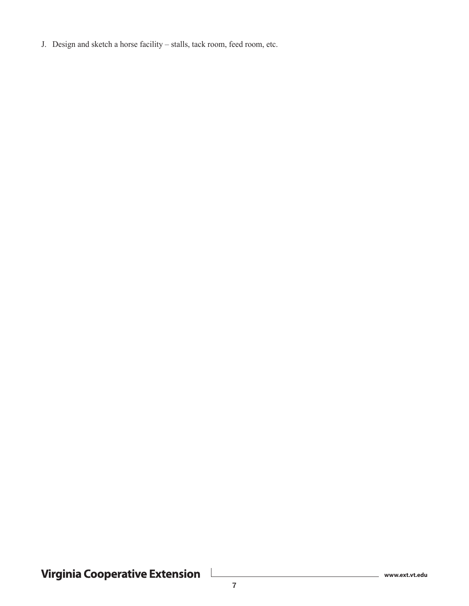J. Design and sketch a horse facility – stalls, tack room, feed room, etc.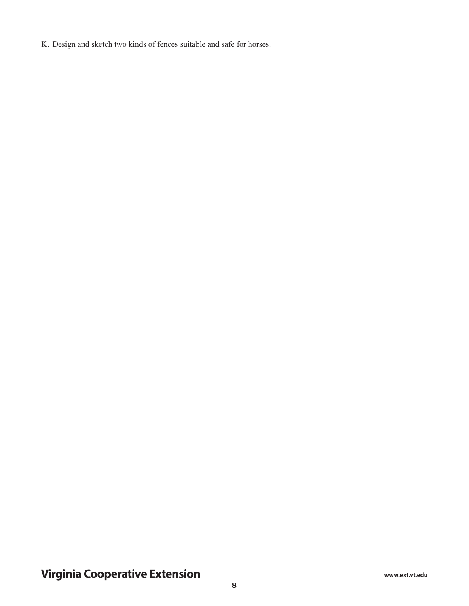K. Design and sketch two kinds of fences suitable and safe for horses.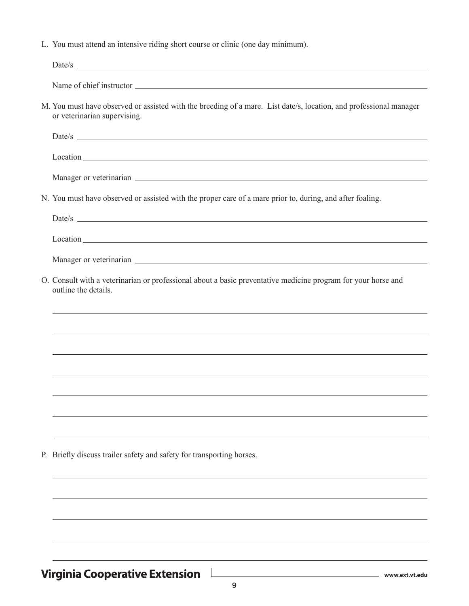L. You must attend an intensive riding short course or clinic (one day minimum).

| $Date/s$ $\qquad \qquad$                                                                                                                                                                                                            |
|-------------------------------------------------------------------------------------------------------------------------------------------------------------------------------------------------------------------------------------|
|                                                                                                                                                                                                                                     |
| M. You must have observed or assisted with the breeding of a mare. List date/s, location, and professional manager<br>or veterinarian supervising.                                                                                  |
|                                                                                                                                                                                                                                     |
| Location expansion and the set of the set of the set of the set of the set of the set of the set of the set of the set of the set of the set of the set of the set of the set of the set of the set of the set of the set of t      |
|                                                                                                                                                                                                                                     |
| N. You must have observed or assisted with the proper care of a mare prior to, during, and after foaling.                                                                                                                           |
|                                                                                                                                                                                                                                     |
| Location <u>example</u> and the contract of the contract of the contract of the contract of the contract of the contract of the contract of the contract of the contract of the contract of the contract of the contract of the con |
|                                                                                                                                                                                                                                     |
| O. Consult with a veterinarian or professional about a basic preventative medicine program for your horse and<br>outline the details.                                                                                               |
|                                                                                                                                                                                                                                     |
| ,我们也不能会在这里,我们也不能会在这里,我们也不能会在这里,我们也不能会在这里,我们也不能会在这里,我们也不能会在这里,我们也不能会不能会不能会。""我们,我们                                                                                                                                                   |
| ,我们也不会有什么。""我们的人,我们也不会有什么?""我们的人,我们也不会有什么?""我们的人,我们也不会有什么?""我们的人,我们也不会有什么?""我们的人                                                                                                                                                    |
|                                                                                                                                                                                                                                     |
|                                                                                                                                                                                                                                     |
|                                                                                                                                                                                                                                     |
| P. Briefly discuss trailer safety and safety for transporting horses.                                                                                                                                                               |
|                                                                                                                                                                                                                                     |
|                                                                                                                                                                                                                                     |
|                                                                                                                                                                                                                                     |
|                                                                                                                                                                                                                                     |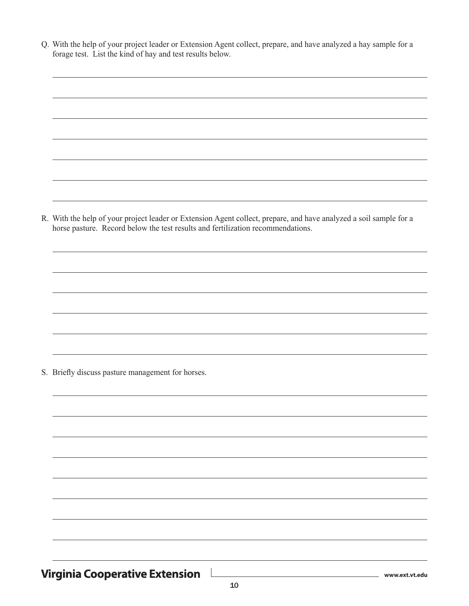Q. With the help of your project leader or Extension Agent collect, prepare, and have analyzed a hay sample for a forage test. List the kind of hay and test results below.

R. With the help of your project leader or Extension Agent collect, prepare, and have analyzed a soil sample for a horse pasture. Record below the test results and fertilization recommendations.

S. Briefly discuss pasture management for horses.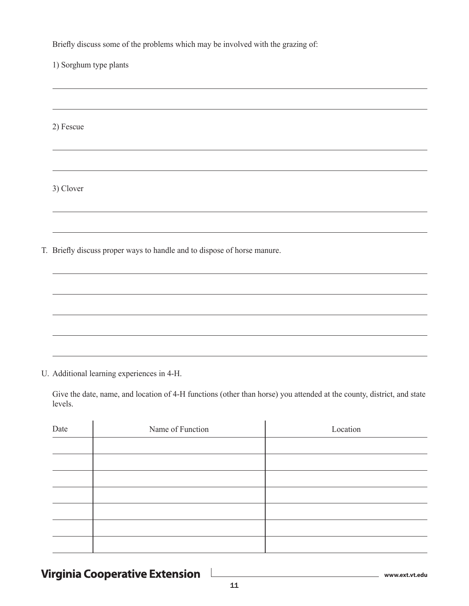Briefly discuss some of the problems which may be involved with the grazing of:

1) Sorghum type plants

2) Fescue

3) Clover

T. Briefly discuss proper ways to handle and to dispose of horse manure.

U. Additional learning experiences in 4-H.

Give the date, name, and location of 4-H functions (other than horse) you attended at the county, district, and state levels.

| Date | Name of Function | Location |
|------|------------------|----------|
|      |                  |          |
|      |                  |          |
|      |                  |          |
|      |                  |          |
|      |                  |          |
|      |                  |          |
|      |                  |          |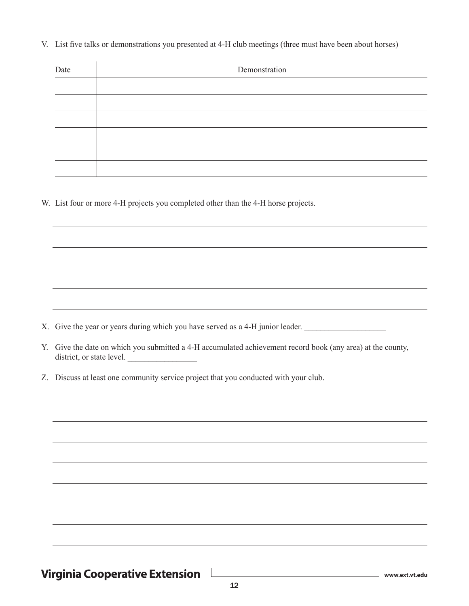V. List five talks or demonstrations you presented at 4-H club meetings (three must have been about horses)

| Date | Demonstration |  |
|------|---------------|--|
|      |               |  |
|      |               |  |
|      |               |  |
|      |               |  |
|      |               |  |
|      |               |  |

W. List four or more 4-H projects you completed other than the 4-H horse projects.

- X. Give the year or years during which you have served as a 4-H junior leader.
- Y. Give the date on which you submitted a 4-H accumulated achievement record book (any area) at the county, district, or state level.
- Z. Discuss at least one community service project that you conducted with your club.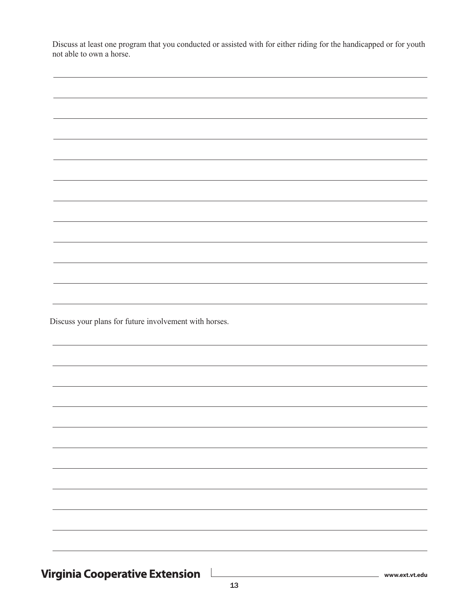| Discuss at least one program that you conducted or assisted with for either riding for the handicapped or for youth |  |  |  |  |
|---------------------------------------------------------------------------------------------------------------------|--|--|--|--|
| not able to own a horse.                                                                                            |  |  |  |  |

| Discuss your plans for future involvement with horses. |  |  |
|--------------------------------------------------------|--|--|
|                                                        |  |  |
|                                                        |  |  |
|                                                        |  |  |
|                                                        |  |  |
|                                                        |  |  |
|                                                        |  |  |
|                                                        |  |  |
|                                                        |  |  |
|                                                        |  |  |
|                                                        |  |  |
|                                                        |  |  |
|                                                        |  |  |
|                                                        |  |  |
|                                                        |  |  |
|                                                        |  |  |
|                                                        |  |  |
|                                                        |  |  |
|                                                        |  |  |
|                                                        |  |  |
|                                                        |  |  |
|                                                        |  |  |
|                                                        |  |  |
|                                                        |  |  |
|                                                        |  |  |
|                                                        |  |  |
|                                                        |  |  |
|                                                        |  |  |
|                                                        |  |  |
|                                                        |  |  |
|                                                        |  |  |
|                                                        |  |  |
|                                                        |  |  |
|                                                        |  |  |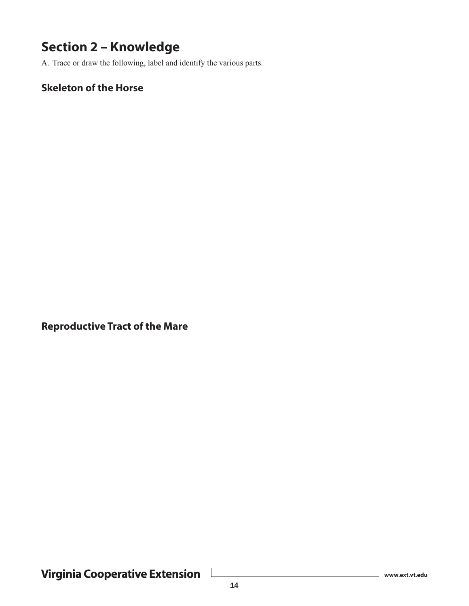## **Section 2 – Knowledge**

A. Trace or draw the following, label and identify the various parts.

#### **Skeleton of the Horse**

**Reproductive Tract of the Mare**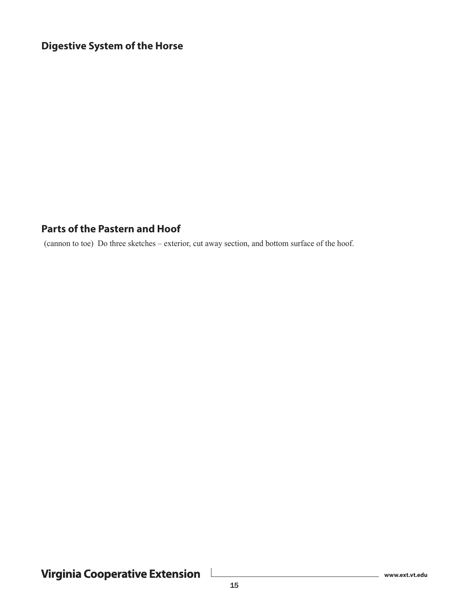#### **Digestive System of the Horse**

#### **Parts of the Pastern and Hoof**

(cannon to toe) Do three sketches – exterior, cut away section, and bottom surface of the hoof.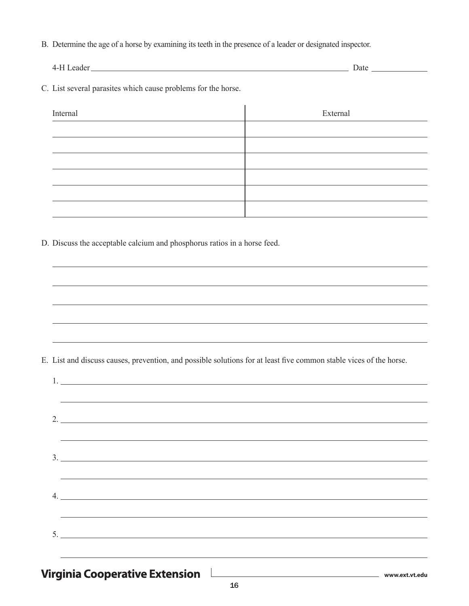B. Determine the age of a horse by examining its teeth in the presence of a leader or designated inspector.

4-H Leader Date

C. List several parasites which cause problems for the horse.

| Internal | External |
|----------|----------|
|          |          |
|          |          |
|          |          |
|          |          |
|          |          |
|          |          |

D. Discuss the acceptable calcium and phosphorus ratios in a horse feed.

E. List and discuss causes, prevention, and possible solutions for at least five common stable vices of the horse.

| <u> 1989 - Andrea Andrew Maria (h. 1989).</u><br>1905 - Andrew Maria (h. 1906).                                                                                                                                                      |
|--------------------------------------------------------------------------------------------------------------------------------------------------------------------------------------------------------------------------------------|
| 2.                                                                                                                                                                                                                                   |
|                                                                                                                                                                                                                                      |
| the company of the company of<br><u> 1989 - Johann Barnett, fransk politiker</u>                                                                                                                                                     |
| $3.$ $\overline{\phantom{a}}$                                                                                                                                                                                                        |
|                                                                                                                                                                                                                                      |
|                                                                                                                                                                                                                                      |
| $4. \underline{\hspace{1cm}}$                                                                                                                                                                                                        |
| <u>and the company of the company of the company of the company of the company of the company of the company of the company of the company of the company of the company of the company of the company of the company of the com</u> |
|                                                                                                                                                                                                                                      |
|                                                                                                                                                                                                                                      |
|                                                                                                                                                                                                                                      |
|                                                                                                                                                                                                                                      |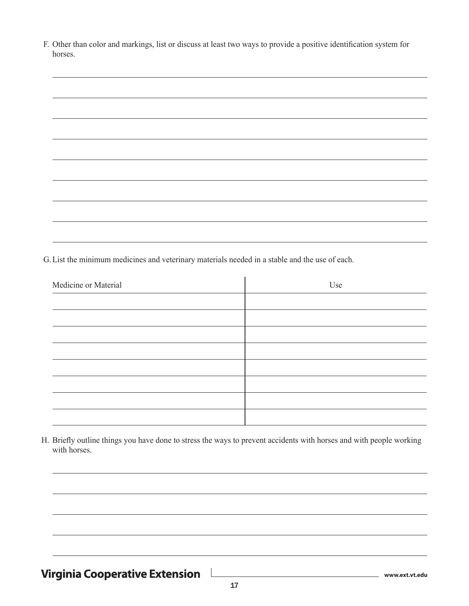| F. Other than color and markings, list or discuss at least two ways to provide a positive identification system for |
|---------------------------------------------------------------------------------------------------------------------|
| horses.                                                                                                             |

G.List the minimum medicines and veterinary materials needed in a stable and the use of each.

| Medicine or Material | Use |  |
|----------------------|-----|--|
|                      |     |  |
|                      |     |  |
|                      |     |  |
|                      |     |  |
|                      |     |  |
|                      |     |  |
|                      |     |  |
|                      |     |  |

H. Briefly outline things you have done to stress the ways to prevent accidents with horses and with people working with horses.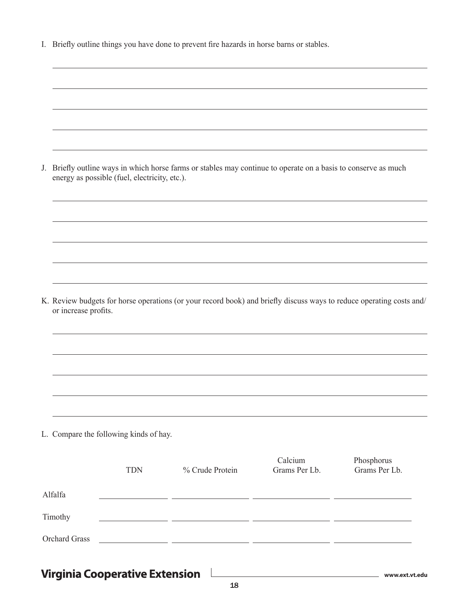| J. Briefly outline ways in which horse farms or stables may continue to operate on a basis to conserve as much |
|----------------------------------------------------------------------------------------------------------------|
| energy as possible (fuel, electricity, etc.).                                                                  |

K. Review budgets for horse operations (or your record book) and briefly discuss ways to reduce operating costs and/ or increase profits.

L. Compare the following kinds of hay.

|                      | <b>TDN</b> | % Crude Protein | Calcium<br>Grams Per Lb. | Phosphorus<br>Grams Per Lb. |
|----------------------|------------|-----------------|--------------------------|-----------------------------|
| Alfalfa              |            |                 |                          |                             |
| Timothy              |            |                 |                          |                             |
| <b>Orchard Grass</b> |            |                 |                          |                             |
|                      |            |                 |                          |                             |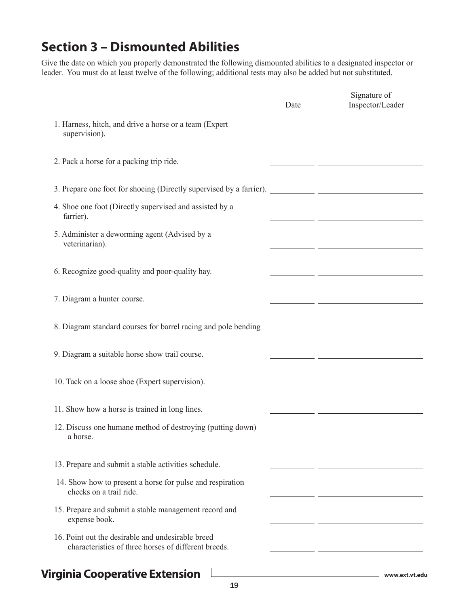## **Section 3 – Dismounted Abilities**

Give the date on which you properly demonstrated the following dismounted abilities to a designated inspector or leader. You must do at least twelve of the following; additional tests may also be added but not substituted.

|                                                                                                           | Date | Signature of<br>Inspector/Leader                                                                                    |
|-----------------------------------------------------------------------------------------------------------|------|---------------------------------------------------------------------------------------------------------------------|
| 1. Harness, hitch, and drive a horse or a team (Expert<br>supervision).                                   |      |                                                                                                                     |
| 2. Pack a horse for a packing trip ride.                                                                  |      |                                                                                                                     |
|                                                                                                           |      |                                                                                                                     |
| 4. Shoe one foot (Directly supervised and assisted by a<br>farrier).                                      |      |                                                                                                                     |
| 5. Administer a deworming agent (Advised by a<br>veterinarian).                                           |      |                                                                                                                     |
| 6. Recognize good-quality and poor-quality hay.                                                           |      |                                                                                                                     |
| 7. Diagram a hunter course.                                                                               |      |                                                                                                                     |
| 8. Diagram standard courses for barrel racing and pole bending                                            |      | <u> 1989 - Johann John Stone, mars eta industrial eta industrial eta industrial eta industrial eta industrial e</u> |
| 9. Diagram a suitable horse show trail course.                                                            |      |                                                                                                                     |
| 10. Tack on a loose shoe (Expert supervision).                                                            |      |                                                                                                                     |
| 11. Show how a horse is trained in long lines.                                                            |      |                                                                                                                     |
| 12. Discuss one humane method of destroying (putting down)<br>a horse.                                    |      |                                                                                                                     |
| 13. Prepare and submit a stable activities schedule.                                                      |      |                                                                                                                     |
| 14. Show how to present a horse for pulse and respiration<br>checks on a trail ride.                      |      |                                                                                                                     |
| 15. Prepare and submit a stable management record and<br>expense book.                                    |      |                                                                                                                     |
| 16. Point out the desirable and undesirable breed<br>characteristics of three horses of different breeds. |      |                                                                                                                     |
|                                                                                                           |      |                                                                                                                     |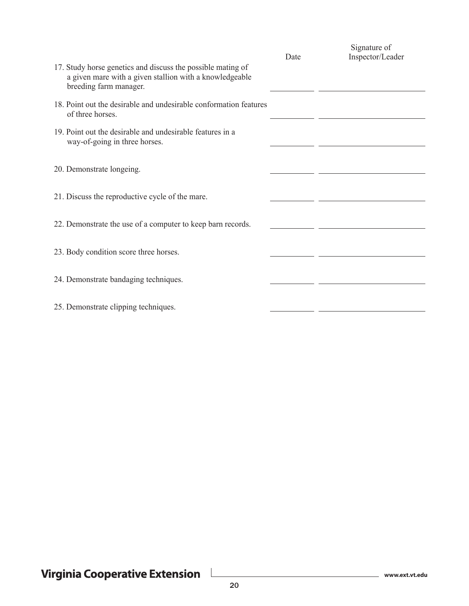|                                                                                                                                                  | Date | Signature of<br>Inspector/Leader |
|--------------------------------------------------------------------------------------------------------------------------------------------------|------|----------------------------------|
| 17. Study horse genetics and discuss the possible mating of<br>a given mare with a given stallion with a knowledgeable<br>breeding farm manager. |      |                                  |
| 18. Point out the desirable and undesirable conformation features<br>of three horses.                                                            |      |                                  |
| 19. Point out the desirable and undesirable features in a<br>way-of-going in three horses.                                                       |      |                                  |
| 20. Demonstrate longeing.                                                                                                                        |      |                                  |
| 21. Discuss the reproductive cycle of the mare.                                                                                                  |      |                                  |
| 22. Demonstrate the use of a computer to keep barn records.                                                                                      |      |                                  |
| 23. Body condition score three horses.                                                                                                           |      |                                  |
| 24. Demonstrate bandaging techniques.                                                                                                            |      |                                  |
| 25. Demonstrate clipping techniques.                                                                                                             |      |                                  |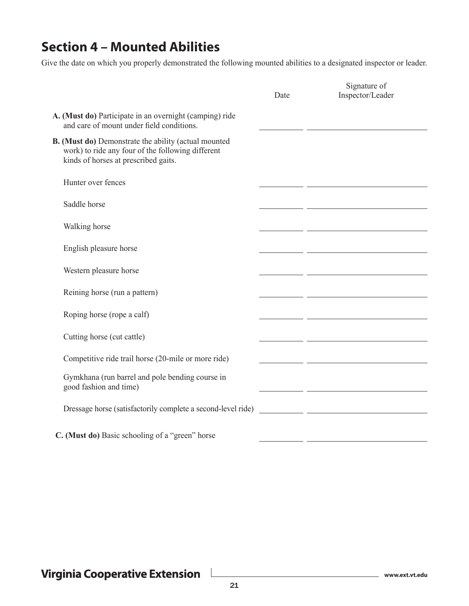#### **Section 4 – Mounted Abilities**

Give the date on which you properly demonstrated the following mounted abilities to a designated inspector or leader.

| Date | Signature of<br>Inspector/Leader                                                                                       |
|------|------------------------------------------------------------------------------------------------------------------------|
|      |                                                                                                                        |
|      |                                                                                                                        |
|      |                                                                                                                        |
|      |                                                                                                                        |
|      | <u> 2002 - Jan Samuel Barbara, martin da shekarar 1980 - 1981 - 1982 - 1982 - 1982 - 1982 - 1982 - 1983 - 1984 -</u>   |
|      |                                                                                                                        |
|      |                                                                                                                        |
|      |                                                                                                                        |
|      | <u> 1989 - Johann Stein, mars eta inperiodo eta inperiodo eta inperiodo eta inperiodo eta inperiodo eta inperiod</u>   |
|      |                                                                                                                        |
|      | <u> 1989 - Johann John Stone, mars et al. 1989 - John Stone, mars et al. 1989 - John Stone, mars et al. 1989 - Joh</u> |
|      |                                                                                                                        |
|      | <u> 1990 - Johann John Stone, mars eta inperiodo</u>                                                                   |
|      |                                                                                                                        |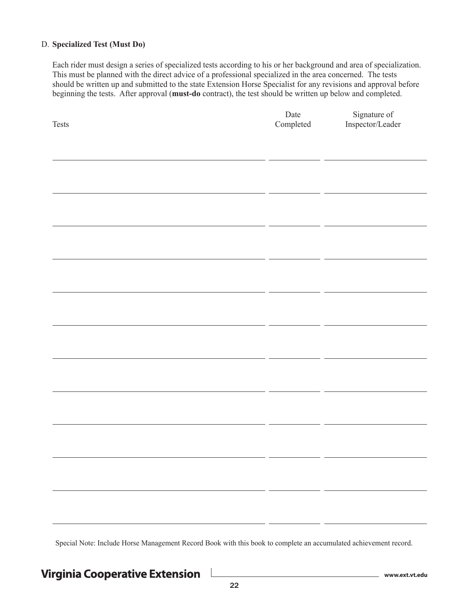#### D. **Specialized Test (Must Do)**

Each rider must design a series of specialized tests according to his or her background and area of specialization. This must be planned with the direct advice of a professional specialized in the area concerned. The tests should be written up and submitted to the state Extension Horse Specialist for any revisions and approval before beginning the tests. After approval (**must-do** contract), the test should be written up below and completed.

| $\operatorname{\mathsf{Tests}}$ | $\rm{Date}$<br>Completed | Signature of<br>Inspector/Leader |
|---------------------------------|--------------------------|----------------------------------|
|                                 |                          |                                  |
|                                 |                          |                                  |
|                                 |                          |                                  |
|                                 |                          |                                  |
|                                 |                          |                                  |
|                                 |                          |                                  |
|                                 |                          |                                  |
|                                 |                          |                                  |
|                                 |                          |                                  |
|                                 |                          |                                  |
|                                 |                          |                                  |
|                                 |                          |                                  |
|                                 |                          |                                  |
|                                 |                          |                                  |
|                                 |                          |                                  |

Special Note: Include Horse Management Record Book with this book to complete an accumulated achievement record.